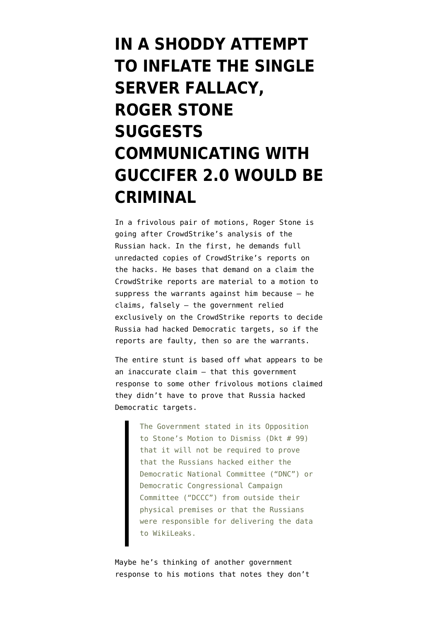## **[IN A SHODDY ATTEMPT](https://www.emptywheel.net/2019/05/11/roger-stone-suggests-communicating-with-guccifer-2-0-would-be-criminal/) [TO INFLATE THE SINGLE](https://www.emptywheel.net/2019/05/11/roger-stone-suggests-communicating-with-guccifer-2-0-would-be-criminal/) [SERVER FALLACY,](https://www.emptywheel.net/2019/05/11/roger-stone-suggests-communicating-with-guccifer-2-0-would-be-criminal/) [ROGER STONE](https://www.emptywheel.net/2019/05/11/roger-stone-suggests-communicating-with-guccifer-2-0-would-be-criminal/) [SUGGESTS](https://www.emptywheel.net/2019/05/11/roger-stone-suggests-communicating-with-guccifer-2-0-would-be-criminal/) [COMMUNICATING WITH](https://www.emptywheel.net/2019/05/11/roger-stone-suggests-communicating-with-guccifer-2-0-would-be-criminal/) [GUCCIFER 2.0 WOULD BE](https://www.emptywheel.net/2019/05/11/roger-stone-suggests-communicating-with-guccifer-2-0-would-be-criminal/) [CRIMINAL](https://www.emptywheel.net/2019/05/11/roger-stone-suggests-communicating-with-guccifer-2-0-would-be-criminal/)**

In a frivolous pair of motions, Roger Stone is going after CrowdStrike's analysis of the Russian hack. In the first, he [demands](https://www.courtlistener.com/recap/gov.uscourts.dcd.203583/gov.uscourts.dcd.203583.103.0.pdf) full unredacted copies of CrowdStrike's reports on the hacks. He bases that demand on a claim the CrowdStrike reports are material to a [motion to](https://www.courtlistener.com/recap/gov.uscourts.dcd.203583/gov.uscourts.dcd.203583.100.0.pdf) [suppress](https://www.courtlistener.com/recap/gov.uscourts.dcd.203583/gov.uscourts.dcd.203583.100.0.pdf) the warrants against him because — he claims, falsely — the government relied exclusively on the CrowdStrike reports to decide Russia had hacked Democratic targets, so if the reports are faulty, then so are the warrants.

The entire stunt is based off what appears to be an inaccurate claim — that this government [response](https://www.courtlistener.com/recap/gov.uscourts.dcd.203583/gov.uscourts.dcd.203583.99.0_2.pdf) to some other frivolous motions claimed they didn't have to prove that Russia hacked Democratic targets.

> The Government stated in its Opposition to Stone's Motion to Dismiss (Dkt # 99) that it will not be required to prove that the Russians hacked either the Democratic National Committee ("DNC") or Democratic Congressional Campaign Committee ("DCCC") from outside their physical premises or that the Russians were responsible for delivering the data to WikiLeaks.

Maybe he's thinking of another government response to his motions that notes they don't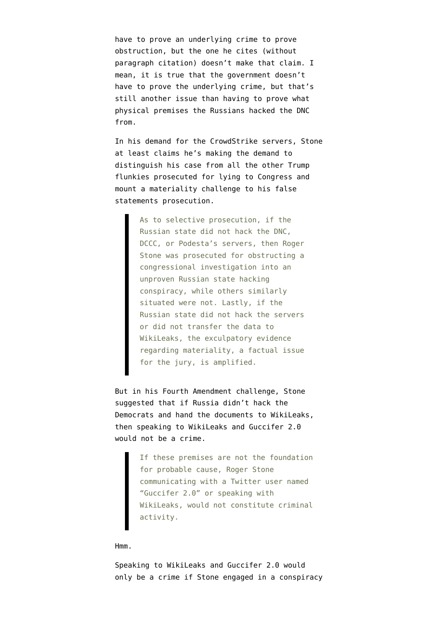have to prove an underlying crime to prove obstruction, but the one he cites (without paragraph citation) doesn't make that claim. I mean, it is true that the government doesn't have to prove the underlying crime, but that's still another issue than having to prove what physical premises the Russians hacked the DNC from.

In his demand for the CrowdStrike servers, Stone at least claims he's making the demand to distinguish his case from all the other Trump flunkies prosecuted for lying to Congress and mount a materiality challenge to his false statements prosecution.

> As to selective prosecution, if the Russian state did not hack the DNC, DCCC, or Podesta's servers, then Roger Stone was prosecuted for obstructing a congressional investigation into an unproven Russian state hacking conspiracy, while others similarly situated were not. Lastly, if the Russian state did not hack the servers or did not transfer the data to WikiLeaks, the exculpatory evidence regarding materiality, a factual issue for the jury, is amplified.

But in his Fourth Amendment challenge, Stone suggested that if Russia didn't hack the Democrats and hand the documents to WikiLeaks, then speaking to WikiLeaks and Guccifer 2.0 would not be a crime.

> If these premises are not the foundation for probable cause, Roger Stone communicating with a Twitter user named "Guccifer 2.0" or speaking with WikiLeaks, would not constitute criminal activity.

## Hmm.

Speaking to WikiLeaks and Guccifer 2.0 would only be a crime if Stone engaged in a conspiracy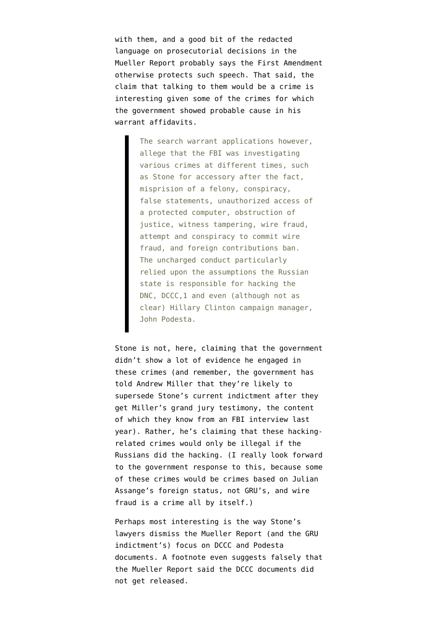with them, and a good bit of the redacted language on prosecutorial decisions in the Mueller Report probably says the First Amendment otherwise protects such speech. That said, the claim that talking to them would be a crime is interesting given some of the crimes for which the government showed probable cause in his warrant affidavits.

> The search warrant applications however, allege that the FBI was investigating various crimes at different times, such as Stone for accessory after the fact, misprision of a felony, conspiracy, false statements, unauthorized access of a protected computer, obstruction of justice, witness tampering, wire fraud, attempt and conspiracy to commit wire fraud, and foreign contributions ban. The uncharged conduct particularly relied upon the assumptions the Russian state is responsible for hacking the DNC, DCCC,1 and even (although not as clear) Hillary Clinton campaign manager, John Podesta.

Stone is not, here, claiming that the government didn't show a lot of evidence he engaged in these crimes (and remember, the government has told Andrew Miller that they're likely to supersede Stone's current indictment after they get Miller's grand jury testimony, the content of which they know from an FBI interview last year). Rather, he's claiming that these hackingrelated crimes would only be illegal if the Russians did the hacking. (I really look forward to the government response to this, because some of these crimes would be crimes based on Julian Assange's foreign status, not GRU's, and wire fraud is a crime all by itself.)

Perhaps most interesting is the way Stone's lawyers dismiss the Mueller Report (and the GRU indictment's) focus on DCCC and Podesta documents. A footnote even suggests falsely that the Mueller Report said the DCCC documents did not get released.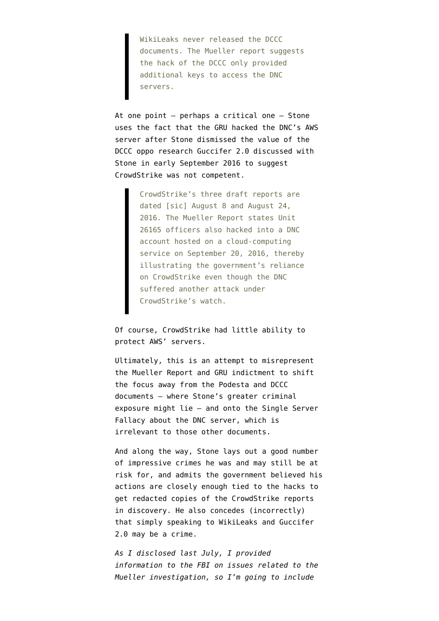WikiLeaks never released the DCCC documents. The Mueller report suggests the hack of the DCCC only provided additional keys to access the DNC servers.

At one point — perhaps a critical one — Stone uses the fact that the GRU hacked the DNC's AWS server after Stone dismissed the value of the DCCC oppo research Guccifer 2.0 discussed with Stone in early September 2016 to suggest CrowdStrike was not competent.

> CrowdStrike's three draft reports are dated [sic] August 8 and August 24, 2016. The Mueller Report states Unit 26165 officers also hacked into a DNC account hosted on a cloud-computing service on September 20, 2016, thereby illustrating the government's reliance on CrowdStrike even though the DNC suffered another attack under CrowdStrike's watch.

Of course, CrowdStrike had little ability to protect AWS' servers.

Ultimately, this is an attempt to misrepresent the Mueller Report and GRU indictment to shift the focus away from the Podesta and DCCC documents — where Stone's greater criminal exposure might lie — and onto the Single Server Fallacy about the DNC server, which is irrelevant to those other documents.

And along the way, Stone lays out a good number of impressive crimes he was and may still be at risk for, and admits the government believed his actions are closely enough tied to the hacks to get redacted copies of the CrowdStrike reports in discovery. He also concedes (incorrectly) that simply speaking to WikiLeaks and Guccifer 2.0 may be a crime.

*As I disclosed last July, I [provided](https://www.emptywheel.net/2018/07/03/putting-a-face-mine-to-the-risks-posed-by-gop-games-on-mueller-investigation/) [information](https://www.emptywheel.net/2018/07/03/putting-a-face-mine-to-the-risks-posed-by-gop-games-on-mueller-investigation/) to the FBI on issues related to the Mueller investigation, so I'm going to include*